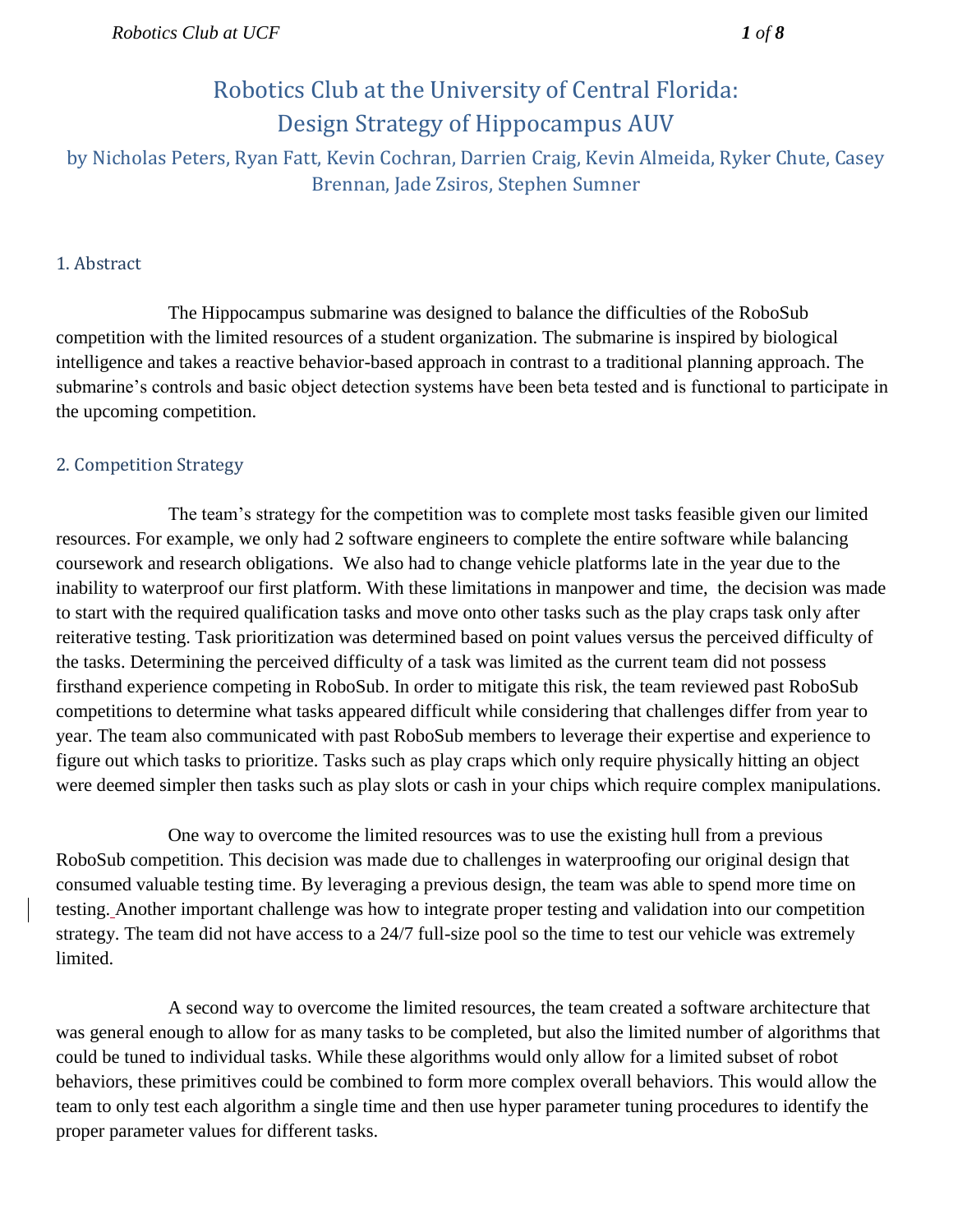# Robotics Club at the University of Central Florida: Design Strategy of Hippocampus AUV

by Nicholas Peters, Ryan Fatt, Kevin Cochran, Darrien Craig, Kevin Almeida, Ryker Chute, Casey Brennan, Jade Zsiros, Stephen Sumner

#### 1. Abstract

The Hippocampus submarine was designed to balance the difficulties of the RoboSub competition with the limited resources of a student organization. The submarine is inspired by biological intelligence and takes a reactive behavior-based approach in contrast to a traditional planning approach. The submarine's controls and basic object detection systems have been beta tested and is functional to participate in the upcoming competition.

### 2. Competition Strategy

The team's strategy for the competition was to complete most tasks feasible given our limited resources. For example, we only had 2 software engineers to complete the entire software while balancing coursework and research obligations. We also had to change vehicle platforms late in the year due to the inability to waterproof our first platform. With these limitations in manpower and time, the decision was made to start with the required qualification tasks and move onto other tasks such as the play craps task only after reiterative testing. Task prioritization was determined based on point values versus the perceived difficulty of the tasks. Determining the perceived difficulty of a task was limited as the current team did not possess firsthand experience competing in RoboSub. In order to mitigate this risk, the team reviewed past RoboSub competitions to determine what tasks appeared difficult while considering that challenges differ from year to year. The team also communicated with past RoboSub members to leverage their expertise and experience to figure out which tasks to prioritize. Tasks such as play craps which only require physically hitting an object were deemed simpler then tasks such as play slots or cash in your chips which require complex manipulations.

One way to overcome the limited resources was to use the existing hull from a previous RoboSub competition. This decision was made due to challenges in waterproofing our original design that consumed valuable testing time. By leveraging a previous design, the team was able to spend more time on testing. Another important challenge was how to integrate proper testing and validation into our competition strategy. The team did not have access to a 24/7 full-size pool so the time to test our vehicle was extremely limited.

A second way to overcome the limited resources, the team created a software architecture that was general enough to allow for as many tasks to be completed, but also the limited number of algorithms that could be tuned to individual tasks. While these algorithms would only allow for a limited subset of robot behaviors, these primitives could be combined to form more complex overall behaviors. This would allow the team to only test each algorithm a single time and then use hyper parameter tuning procedures to identify the proper parameter values for different tasks.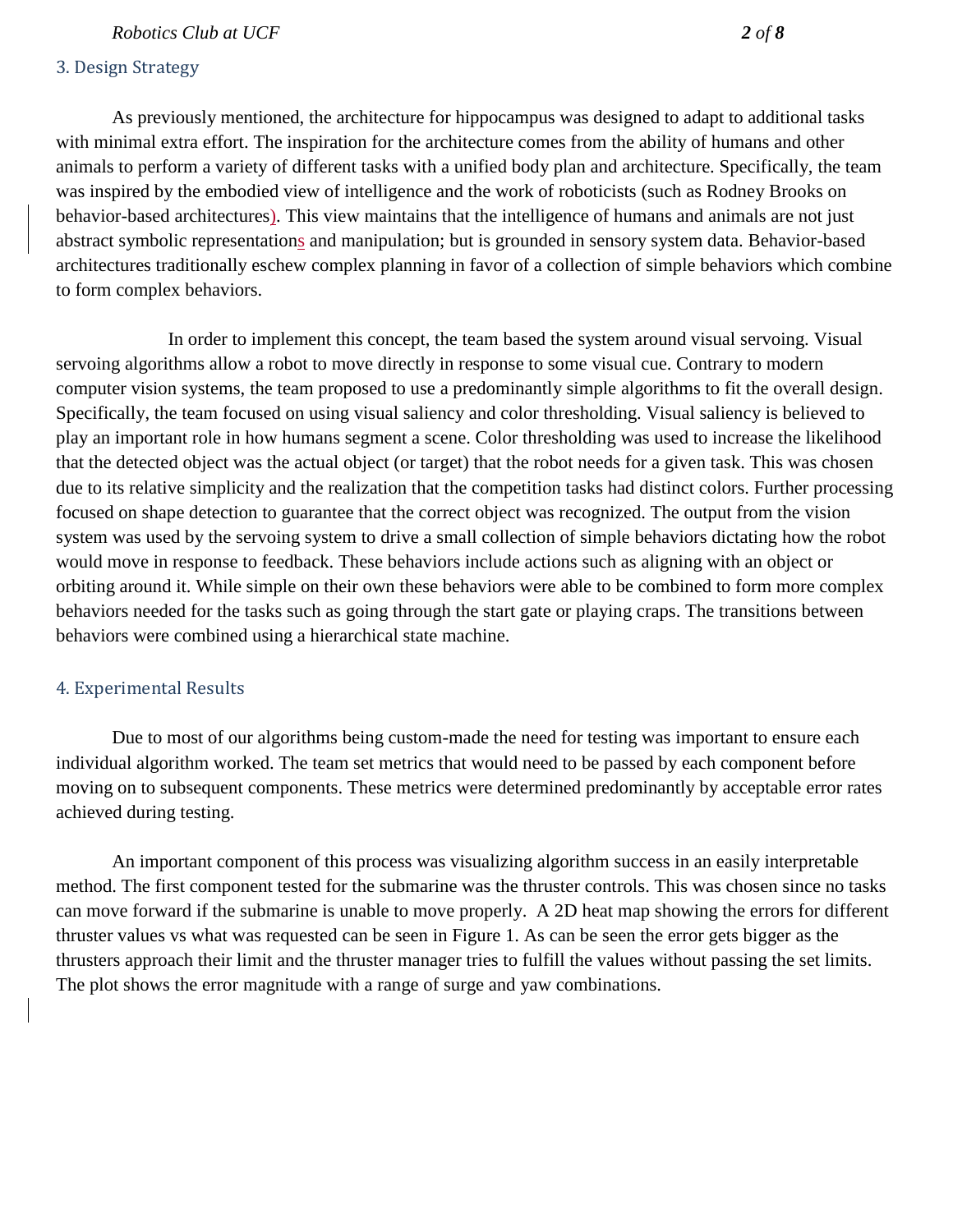#### *Robotics Club at UCF 2 of 8*

#### 3. Design Strategy

As previously mentioned, the architecture for hippocampus was designed to adapt to additional tasks with minimal extra effort. The inspiration for the architecture comes from the ability of humans and other animals to perform a variety of different tasks with a unified body plan and architecture. Specifically, the team was inspired by the embodied view of intelligence and the work of roboticists (such as Rodney Brooks on behavior-based architectures). This view maintains that the intelligence of humans and animals are not just abstract symbolic representations and manipulation; but is grounded in sensory system data. Behavior-based architectures traditionally eschew complex planning in favor of a collection of simple behaviors which combine to form complex behaviors.

In order to implement this concept, the team based the system around visual servoing. Visual servoing algorithms allow a robot to move directly in response to some visual cue. Contrary to modern computer vision systems, the team proposed to use a predominantly simple algorithms to fit the overall design. Specifically, the team focused on using visual saliency and color thresholding. Visual saliency is believed to play an important role in how humans segment a scene. Color thresholding was used to increase the likelihood that the detected object was the actual object (or target) that the robot needs for a given task. This was chosen due to its relative simplicity and the realization that the competition tasks had distinct colors. Further processing focused on shape detection to guarantee that the correct object was recognized. The output from the vision system was used by the servoing system to drive a small collection of simple behaviors dictating how the robot would move in response to feedback. These behaviors include actions such as aligning with an object or orbiting around it. While simple on their own these behaviors were able to be combined to form more complex behaviors needed for the tasks such as going through the start gate or playing craps. The transitions between behaviors were combined using a hierarchical state machine.

#### 4. Experimental Results

Due to most of our algorithms being custom-made the need for testing was important to ensure each individual algorithm worked. The team set metrics that would need to be passed by each component before moving on to subsequent components. These metrics were determined predominantly by acceptable error rates achieved during testing.

An important component of this process was visualizing algorithm success in an easily interpretable method. The first component tested for the submarine was the thruster controls. This was chosen since no tasks can move forward if the submarine is unable to move properly. A 2D heat map showing the errors for different thruster values vs what was requested can be seen in Figure 1. As can be seen the error gets bigger as the thrusters approach their limit and the thruster manager tries to fulfill the values without passing the set limits. The plot shows the error magnitude with a range of surge and yaw combinations.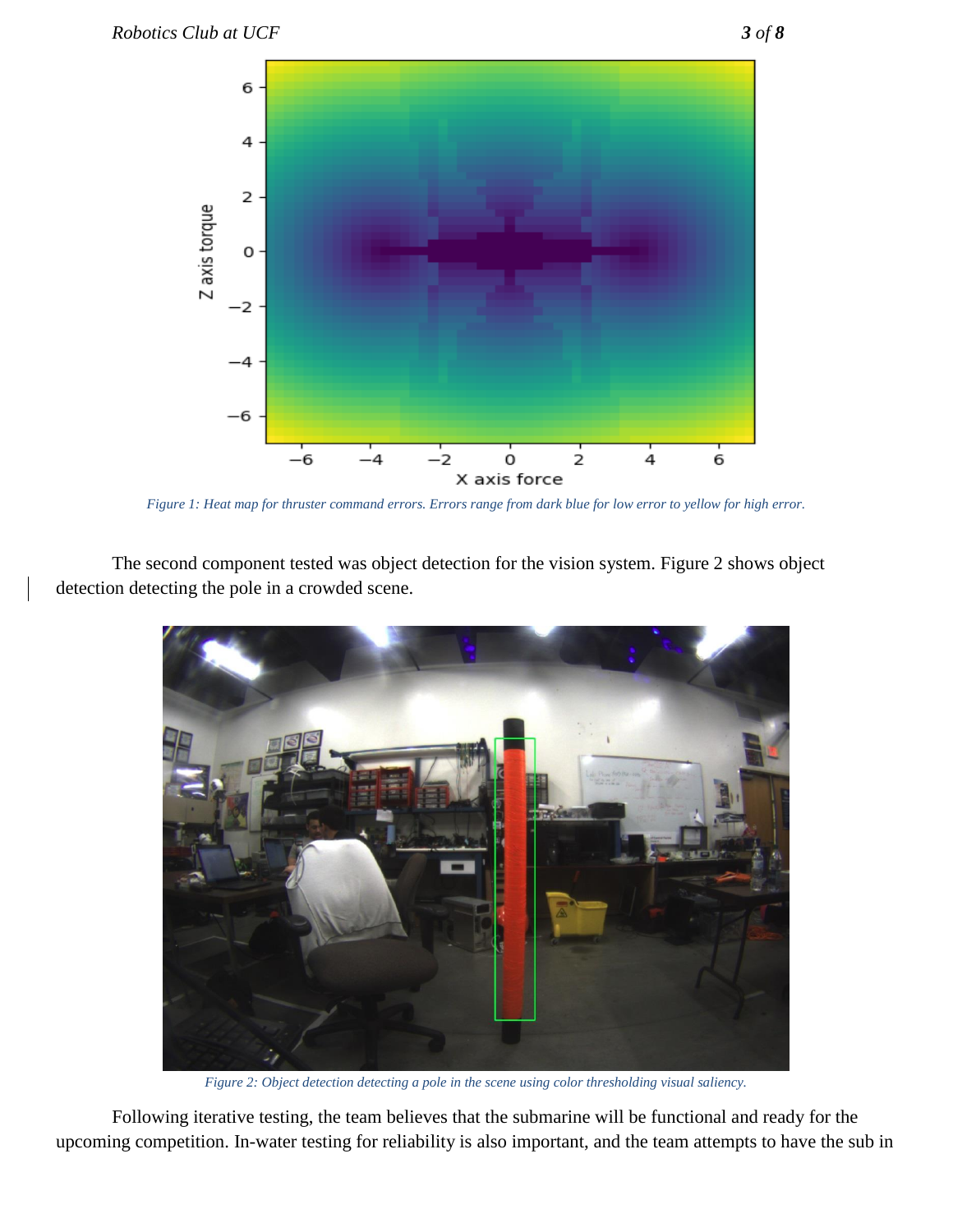

*Figure 1: Heat map for thruster command errors. Errors range from dark blue for low error to yellow for high error.*

The second component tested was object detection for the vision system. Figure 2 shows object detection detecting the pole in a crowded scene.



*Figure 2: Object detection detecting a pole in the scene using color thresholding visual saliency.*

Following iterative testing, the team believes that the submarine will be functional and ready for the upcoming competition. In-water testing for reliability is also important, and the team attempts to have the sub in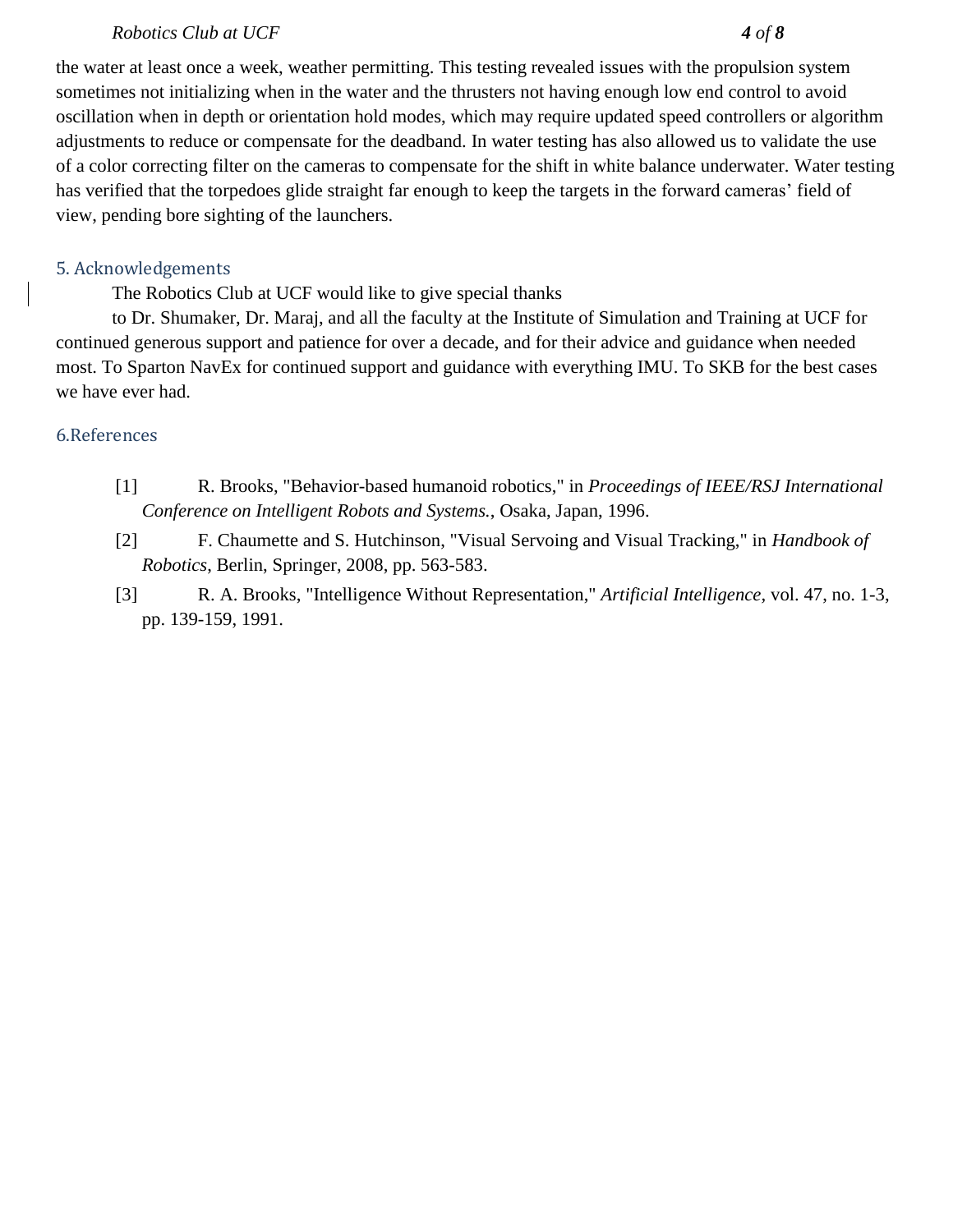#### *Robotics Club at UCF 4 of 8*

the water at least once a week, weather permitting. This testing revealed issues with the propulsion system sometimes not initializing when in the water and the thrusters not having enough low end control to avoid oscillation when in depth or orientation hold modes, which may require updated speed controllers or algorithm adjustments to reduce or compensate for the deadband. In water testing has also allowed us to validate the use of a color correcting filter on the cameras to compensate for the shift in white balance underwater. Water testing has verified that the torpedoes glide straight far enough to keep the targets in the forward cameras' field of view, pending bore sighting of the launchers.

#### 5. Acknowledgements

The Robotics Club at UCF would like to give special thanks

to Dr. Shumaker, Dr. Maraj, and all the faculty at the Institute of Simulation and Training at UCF for continued generous support and patience for over a decade, and for their advice and guidance when needed most. To Sparton NavEx for continued support and guidance with everything IMU. To SKB for the best cases we have ever had.

#### 6.References

- [1] R. Brooks, "Behavior-based humanoid robotics," in *Proceedings of IEEE/RSJ International Conference on Intelligent Robots and Systems.*, Osaka, Japan, 1996.
- [2] F. Chaumette and S. Hutchinson, "Visual Servoing and Visual Tracking," in *Handbook of Robotics*, Berlin, Springer, 2008, pp. 563-583.
- [3] R. A. Brooks, "Intelligence Without Representation," *Artificial Intelligence,* vol. 47, no. 1-3, pp. 139-159, 1991.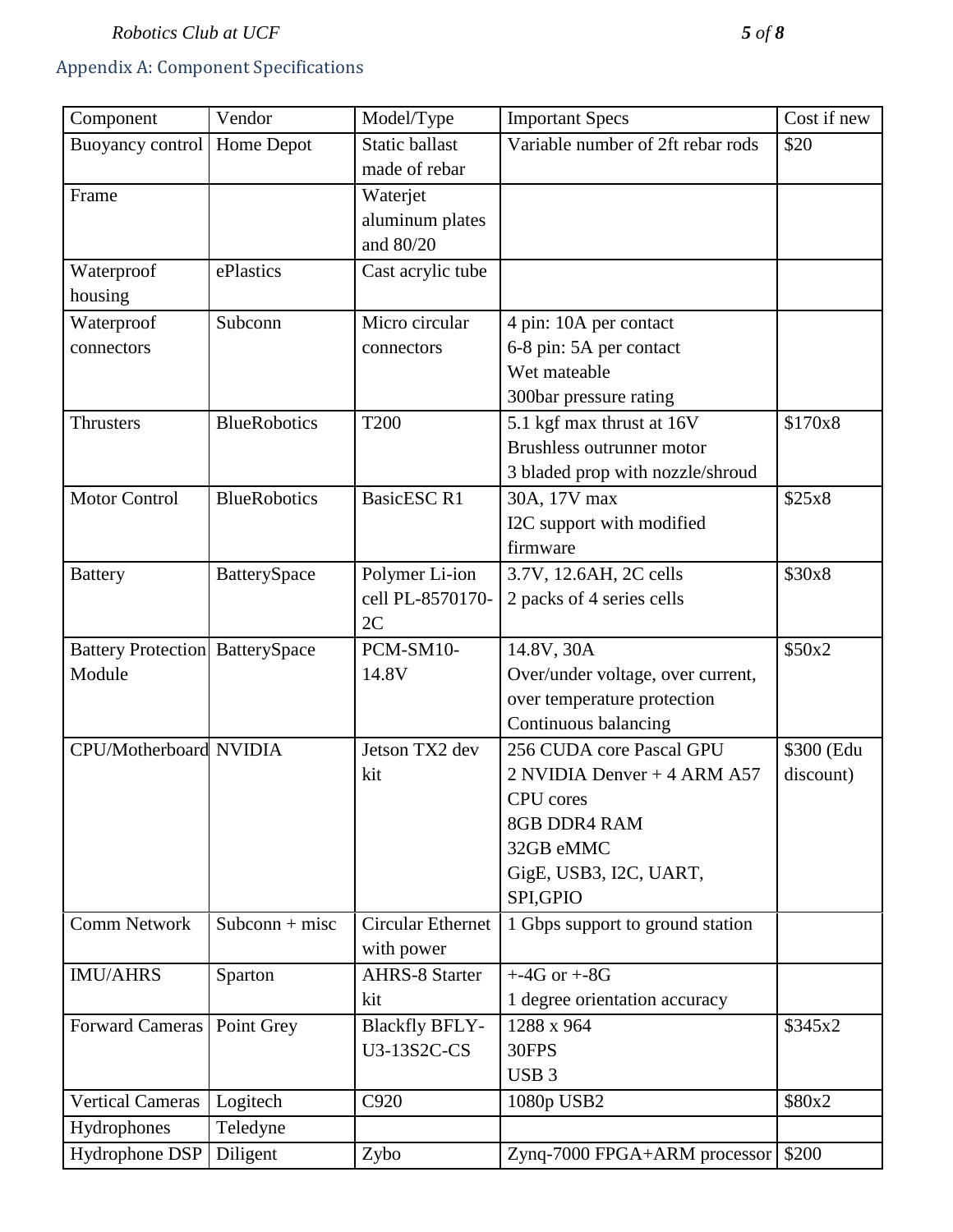## Appendix A: Component Specifications

| Component                              | Vendor              | Model/Type               | <b>Important Specs</b>            | Cost if new |
|----------------------------------------|---------------------|--------------------------|-----------------------------------|-------------|
| Buoyancy control                       | Home Depot          | <b>Static ballast</b>    | Variable number of 2ft rebar rods | \$20        |
|                                        |                     | made of rebar            |                                   |             |
| Frame                                  |                     | Waterjet                 |                                   |             |
|                                        |                     | aluminum plates          |                                   |             |
|                                        |                     | and 80/20                |                                   |             |
| Waterproof                             | ePlastics           | Cast acrylic tube        |                                   |             |
| housing                                |                     |                          |                                   |             |
| Waterproof                             | Subconn             | Micro circular           | 4 pin: 10A per contact            |             |
| connectors                             |                     | connectors               | 6-8 pin: 5A per contact           |             |
|                                        |                     |                          | Wet mateable                      |             |
|                                        |                     |                          | 300bar pressure rating            |             |
| <b>Thrusters</b>                       | <b>BlueRobotics</b> | <b>T200</b>              | 5.1 kgf max thrust at 16V         | \$170x8     |
|                                        |                     |                          | <b>Brushless outrunner motor</b>  |             |
|                                        |                     |                          | 3 bladed prop with nozzle/shroud  |             |
| <b>Motor Control</b>                   | <b>BlueRobotics</b> | <b>BasicESC R1</b>       | 30A, 17V max                      | \$25x8      |
|                                        |                     |                          | I2C support with modified         |             |
|                                        |                     |                          | firmware                          |             |
| <b>Battery</b>                         | BatterySpace        | Polymer Li-ion           | 3.7V, 12.6AH, 2C cells            | \$30x8      |
|                                        |                     | cell PL-8570170-         | 2 packs of 4 series cells         |             |
|                                        |                     | 2C                       |                                   |             |
| <b>Battery Protection BatterySpace</b> |                     | PCM-SM10-                | 14.8V, 30A                        | \$50x2      |
| Module                                 |                     | 14.8V                    | Over/under voltage, over current, |             |
|                                        |                     |                          | over temperature protection       |             |
|                                        |                     |                          | Continuous balancing              |             |
| CPU/Motherboard NVIDIA                 |                     | Jetson TX2 dev           | 256 CUDA core Pascal GPU          | \$300 (Edu  |
|                                        |                     | kit                      | 2 NVIDIA Denver + 4 ARM A57       | discount)   |
|                                        |                     |                          | <b>CPU</b> cores                  |             |
|                                        |                     |                          | 8GB DDR4 RAM                      |             |
|                                        |                     |                          | 32GB eMMC                         |             |
|                                        |                     |                          | GigE, USB3, I2C, UART,            |             |
|                                        |                     |                          | SPI, GPIO                         |             |
| <b>Comm Network</b>                    | $Subconn + missc$   | <b>Circular Ethernet</b> | 1 Gbps support to ground station  |             |
|                                        |                     | with power               |                                   |             |
| <b>IMU/AHRS</b>                        | Sparton             | <b>AHRS-8 Starter</b>    | $+4G$ or $+8G$                    |             |
|                                        |                     | kit                      | 1 degree orientation accuracy     |             |
| <b>Forward Cameras</b>                 | Point Grey          | <b>Blackfly BFLY-</b>    | 1288 x 964                        | \$345x2     |
|                                        |                     | U3-13S2C-CS              | 30FPS                             |             |
|                                        |                     |                          | USB <sub>3</sub>                  |             |
| <b>Vertical Cameras</b>                | Logitech            | C920                     | 1080p USB2                        | \$80x2      |
| Hydrophones                            | Teledyne            |                          |                                   |             |
| Hydrophone DSP                         | Diligent            | Zybo                     | Zynq-7000 FPGA+ARM processor      | \$200       |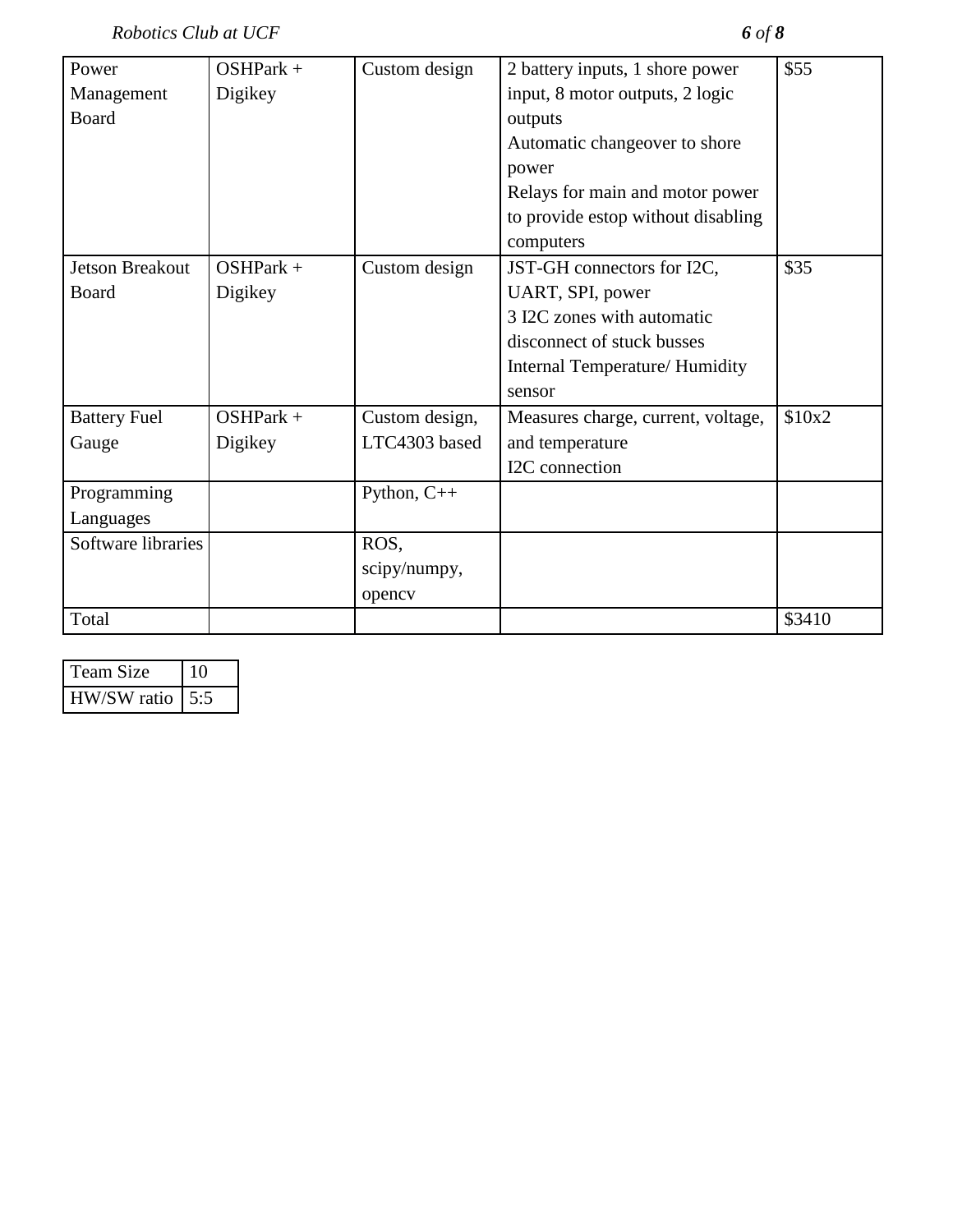*Robotics Club at UCF 6 of 8*

| Power                  | $OSHPark +$ | Custom design  | 2 battery inputs, 1 shore power    | \$55   |
|------------------------|-------------|----------------|------------------------------------|--------|
| Management             | Digikey     |                | input, 8 motor outputs, 2 logic    |        |
| Board                  |             |                | outputs                            |        |
|                        |             |                | Automatic changeover to shore      |        |
|                        |             |                | power                              |        |
|                        |             |                | Relays for main and motor power    |        |
|                        |             |                | to provide estop without disabling |        |
|                        |             |                | computers                          |        |
| <b>Jetson Breakout</b> | $OSHPark +$ | Custom design  | JST-GH connectors for I2C,         | \$35   |
| Board                  | Digikey     |                | UART, SPI, power                   |        |
|                        |             |                | 3 I2C zones with automatic         |        |
|                        |             |                | disconnect of stuck busses         |        |
|                        |             |                | Internal Temperature/ Humidity     |        |
|                        |             |                | sensor                             |        |
| <b>Battery Fuel</b>    | $OSHPark +$ | Custom design, | Measures charge, current, voltage, | \$10x2 |
| Gauge                  | Digikey     | LTC4303 based  | and temperature                    |        |
|                        |             |                | I2C connection                     |        |
| Programming            |             | Python, $C++$  |                                    |        |
| Languages              |             |                |                                    |        |
| Software libraries     |             | ROS,           |                                    |        |
|                        |             | scipy/numpy,   |                                    |        |
|                        |             | opency         |                                    |        |
| Total                  |             |                |                                    | \$3410 |

| Team Size   | 1 ( ) |
|-------------|-------|
| HW/SW ratio |       |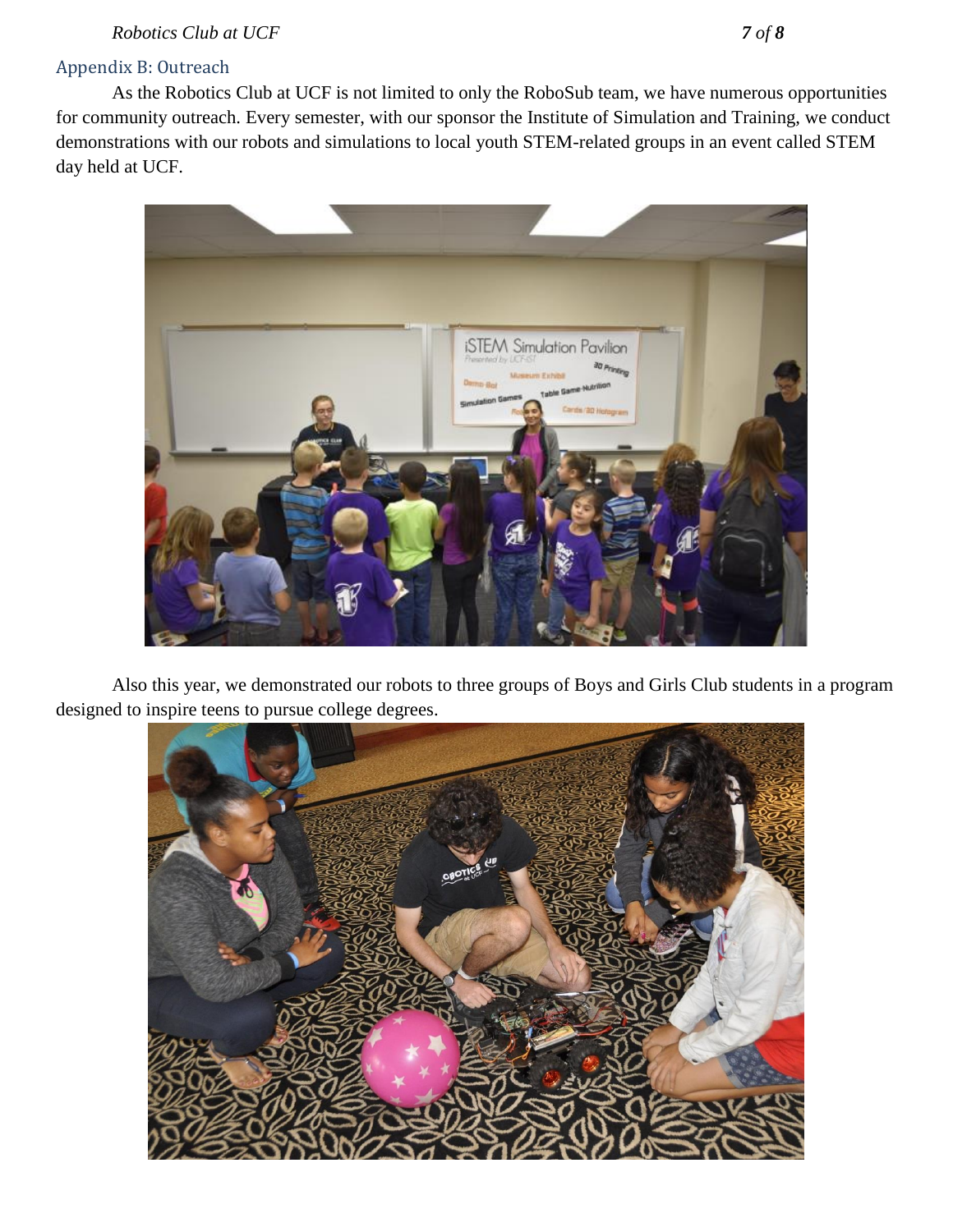*Robotics Club at UCF 7 of 8*

#### Appendix B: Outreach

As the Robotics Club at UCF is not limited to only the RoboSub team, we have numerous opportunities for community outreach. Every semester, with our sponsor the Institute of Simulation and Training, we conduct demonstrations with our robots and simulations to local youth STEM-related groups in an event called STEM day held at UCF.



Also this year, we demonstrated our robots to three groups of Boys and Girls Club students in a program designed to inspire teens to pursue college degrees.